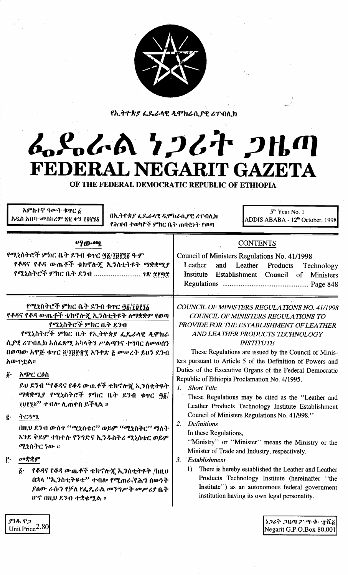

የኢትዮጵያ ፌዴራላዊ ዲሞክራሲያዊ ሪፐብሊክ

# L.S.L.A 7267 2H.M FEDERAL NEGARIT GAZETA OF THE FEDERAL DEMOCRATIC REPUBLIC OF ETHIOPIA

አምስተኛ ዓመት ቁዋር δ 5<sup>th</sup> Year No. 1 በኢትዮጵያ ፌዴራላዊ ዲሞክራሲያዊ ሪፐብሊክ አዲስ አበባ–መስከረም ጽ፪ ቀን ፲፱፻፺፩ ADDIS ABABA - 12<sup>th</sup> October, 1998 የሕዝብ ተወካዮች ምክር ቤት ጠባቀኑት የወጣ ማውጭ. **CONTENTS** የሚኒስትሮች ምክር ቤት ደንብ ቁጥር <u>ფ፩/፲፱፻፺</u>፩ ዓ·ም Council of Ministers Regulations No. 41/1998 የቆዳና የቆዳ ውጤቶች ቴክኖሎጀ ኢንስቲትዩት ማቋቋሚያ Leather Products and Leather Technology የሚኒስትሮች ምክር ቤት ደንብ ......................... 1ጽ ኗ፻፵፰ Institute Establishment Council of Ministers የሚኒስትሮች ምክር ቤት ደንብ ቁዋር ፵፩/፲፱፻፺፩ COUNCIL OF MINISTERS REGULATIONS NO. 41/1998 የቆዳና የቆዳ ውጤቶች ቴክኖሎጇ ኢንስቲትዩት ለማቋቋም የወጣ COUNCIL OF MINISTERS REGULATIONS TO የሚኒስትሮች ምክር ቤት ደንብ PROVIDE FOR THE ESTABLISHMENT OF LEATHER የሚኒስትሮች ምክር ቤት የኢትዮጵያ ፌዴራላዊ ዲሞክራ AND LEATHER PRODUCTS TECHNOLOGY ሲያዊ ሪፐብሊክ አስፌጻሚ አካላትን ሥልጣንና ተግባር ለመወሰን **INSTITUTE** በወጣው አዋጅ ቁጥር ፬/፲፱፻፹፯ አንቀጽ ፩ መሥረት ይህን ደንብ These Regulations are issued by the Council of Minis-አውዋቷል። ters pursuant to Article 5 of the Definition of Powers and Duties of the Executive Organs of the Federal Democratic  $\hat{\boldsymbol{\varrho}}$ . አጭር ርዕስ Republic of Ethiopia Proclamation No. 4/1995. ይህ ደንብ "የቆዳና የቆዳ ውጤቶች ቴክኖሎጂ ኢንስቲትዩት 1. Short Title ማቋቋሚያ የሚኒስትሮች ምክር ቤት ደንብ ቁጥር ፵፩/ These Regulations may be cited as the "Leather and ፲፱፻፺፩'' ተብሎ ሊጠቀስ ይችላል ፡፡ Leather Products Technology Institute Establishment Council of Ministers Regulations No. 41/998." ትርጓሜ ĝ.  $2.$ **Definitions** በዚህ ደንብ ውስዋ ''ሚኒስቴር'' ወይም ''ሚኒስትር'' ማለት In these Regulations, እንደ ቅደም ተከተሉ የንግድና ኢንዱስትሪ ሚኒስቴር ወይም "Ministry" or "Minister" means the Ministry or the ሚኒስትር ነው ። Minister of Trade and Industry, respectively. Ĉ٠ መቋቋም 3. Establishment  $1)$ There is hereby established the Leather and Leather  $\hat{b}$ . የቆዳና የቆዳ ውጤቶች ቴክኖሎጂ ኢንስቲትዩት /ከዚህ Products Technology Institute (hereinafter "the በኋላ "ኢንስቲትዩቱ" ተብሎ የሚጠራ/የሕግ ሰውነት Institute") as an autonomous federal government ያለው ራሱን የቻለ የፌይራል መንግሥት መሥሪያ ቤት institution having its own legal personality. ሆኖ በዚህ ደንብ ተቋቁሟል ።

ያንዱ ዋጋ Unit Price<sup>2.80</sup> ነጋሪት ጋዜጣ ፖ·ሣ·ቁ· ፹ሺ፩ Negarit G.P.O.Box 80,001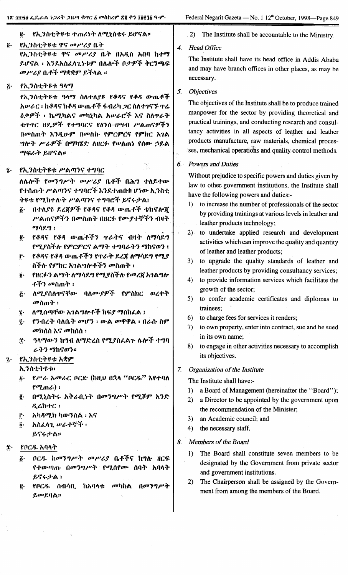#### $\vec{e}$ . የኢንስቲትዩቱ ተጠሪነት ለሚኒስቴሩ ይሆናል።

#### የኢንስቲትዩቱ ዋና መሥሪያ ቤት  $\vec{\bm{\theta}}$  .

የኢንስቲትዩቱ ዋና *መሥሪ*ያ ቤት በአዲስ አበባ ከተማ ይሆናል ፡ እንደአስፈላጊነቱም በሌሎች ቦታዎች ቅርንጫፍ መሥሪያ ቤቶች ማቋቋም ይችላል ።

የኢንስቲትዩቱ ዓላማ ۶.

> የኢንስቲትዩቱ ዓላማ ስለተለያዩ የቆዳና የቆዳ ውጤቶች አሥራር ፡ ከቆዳና ከቆዳ ውጤቶች ፋብሪካ ጋር ስለተገናኙ ዋሬ *ዕቃዎች* ፡ ኬሚካልና መካኒካል አሠራሮች እና ስለተራት ቁጥጥር ዘዴዎች የተግባርና የዕንሰ-ሀሣብ ሥልጠናዎችን በመስጠት እንዲሁም በመስከ የምርምርና የምክር አገል ግሎት ሥራዎች በማካሄድ ለዘርፉ የሥለጠነ የሰው ኃይል ማፍራት ይሆናል።

#### የኢንስቲትዩቱ ሥልጣንና ተግባር  $\mathbf{\hat{z}}$  .

ለሌሎች የመንግሥት መሥሪያ ቤቶች በሕግ ተለይተው የተሰጡት ሥልጣንና ተግባሮች እንደተጠበቁ ሆነው ኢንስቲ ትዩቴ የማከተሉት ሥልጣንና ተግባሮች ይኖሩታል፣

- በተለያዩ ደረጀዎች የቆዳና የቆዳ ውጤቶች ቴክኖሎጀ  $\boldsymbol{\hat{h}}$ . ሥልጠናዎችን በመስጠት በዘርፉ የሙያተኞችን ብዛት ማሳደግ ፡
- የቆዳና የቆዳ ው<sub>ጤ</sub>ቶችን **ተራትና ብዛት ለማሳ**ደግ  $\vec{e}$ . የሚያስችሉ የምርምርና ልማት ተግባራትን ማከናወን ፤
- ŗ. የቆዳና የቆዳ ውጤቶችን የተራት ደረጀ ለማሳደግ የሚያ ስችሉ የምክር አገልግሎቶችን መስጠት ፣
- የዘርፉን ልማት ለማሳደግ የሚያስችሉ የመረጀ አገልግሎ  $\mathbf{0}$ . ቶችን መስጠት ፡
- ለሚያሰለዋናቸው ባለሙያዎች የምስክር ወረቀት  $\ddot{c}$ *መ*ስጠት ፡
- ለሚሰጣቸው አገልግሎቶች ክፍያ ማስከፈል ፤  $\hat{\mathbf{z}}$  .
- የንብረት ባለቤት መሆን ፡ ውል መዋዋል ፡ በራሱ ስም  $\ddot{\mathbf{z}}$ . *መክ*ሰስ እና መከሰስ ፡
- ዓላማውን ከግብ ለማድረስ የሚያስፈልጉ ሌሎች ተግባ **Ϋ** ራትን ማከናወን።

#### የኢንስቲትዩቱ አቋም  $\hat{\mathbf{z}}$ .

ኢንስቲትዩቱ፡

- *የሥራ አመራ*ር ቦርድ (ከዚህ በኋላ "ቦር*ዱ*" እየተባለ  $\hat{b}$ .  $f^{\sigma}$ ጊጠራ):
- በሚኒስትሩ አቅራቢነት በመንግሥት የሚሾም አንድ ë.  $R_6$ h+ $C_1$
- አካዳሚክ ካውንስል ፡ እና ŕ٠
- $\vec{0}$ . አስፈላጊ ሥራተኞች ፡ ይኖሩታል።
- የቦርዱ አባላት Î٠
	- ቦርዱ ከመንግሥት መሥሪያ ቤቶችና ከግሎ ዘርፍ δ. የተውጣጡ በመንግሥት የሚሰየሙ ሰባት አባላት ይኖሩታል ፡
	- በመንግሥት የቦርዱ ሰብሳቢ ከአባላቱ *መ*ካከል ĝ. ይመደባል።

# . 2) The Institute shall be accountable to the Ministry.

#### $\boldsymbol{\Lambda}$ **Head Office**

The Institute shall have its head office in Addis Ababa and may have branch offices in other places, as may be necessary.

#### 5. **Objectives**

The objectives of the Institute shall be to produce trained manpower for the sector by providing theoretical and practical trainings, and conducting research and consultancy activities in all aspects of leather and leather products manufacture, raw materials, chemical processes, mechanical operations and quality control methods.

### 6. Powers and Duties

Without prejudice to specific powers and duties given by law to other government institutions, the Institute shall have the following powers and duties:-

- 1) to increase the number of professionals of the sector by providing trainings at various levels in leather and leather products technology;
- 2) to undertake applied research and development activities which can improve the quality and quantity of leather and leather products:
- 3) to upgrade the quality standards of leather and leather products by providing consultancy services;
- 4) to provide information services which facilitate the growth of the sector;
- 5) to confer academic certificates and diplomas to trainees;
- 6) to charge fees for services it renders;
- 7) to own property, enter into contract, sue and be sued in its own name:
- 8) to engage in other activities necessary to accomplish its objectives.
- $7.$ Organization of the Institute

The Institute shall have:-

- 1) a Board of Management (hereinafter the "Board");
- 2) a Director to be appointed by the government upon the recommendation of the Minister.
- $3)$ an Academic council; and
- 4) the necessary staff.
- 8. Members of the Board
	- The Board shall constitute seven members to be  $\mathbf{D}$ designated by the Government from private sector and government institutions.
	- $(2)$ The Chairperson shall be assigned by the Government from among the members of the Board.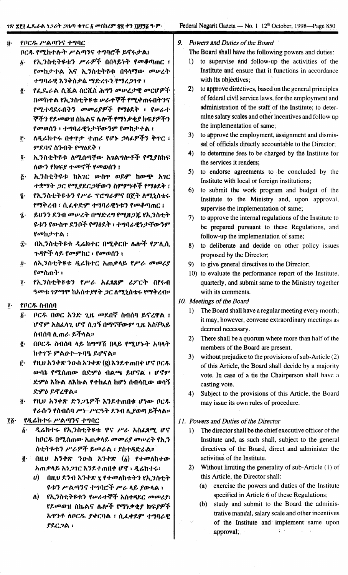## ገጽ ፰፻፶ ፌዶራል *ነጋሪት ጋ*ዜጣ ቁተር ፩ መስከረም <u>ጽ</u>፪ ቀን ፲፱፻፺፩ ዓ·ም·

- የቦርዱ ሥልጣንና ተግባር  $\ddot{\theta}$ ቦርዱ የሚከተሉት ሥልጣንና ተግባሮች ይኖሩታል፤
	- የኢንስቲትዩቱን ሥራዎች በበላይነት የመቆጣጠር ፣  $\hat{b}$ . *የመኪታተ*ል እና ኢንስቲትዩቱ በዓላማው መሥረት ተግባራዊ እንቅስቃሴ ማድረጉን/የማረጋገጥ ፤
	- የፌዴራል ሲቪል ሰርቪስ ሕግን መሠረታዊ መርሆዎች ę. በመከተል የኢንስቲትዩቱ ሥራተኞች የሚቀጠሩበትንና የሚተዳደሩበትን መመሪያዎች የማፅደቅ ፣ የሠራተ ኞችን የደመወዝ ስኬልና ሌሎች የማነቃቂያ ክፍያዎችን የመወሰን ፣ ተግባራዊነታቸውንም የመከታተል ፣
	- ለዲሬክተሩ በቀዋታ ተጠሪ የሆኑ ኃላፊዎችን ቅጥር ፣ Ĉ۰ ምደባና ስንብት የማፅደቅ ፣
	- ኢንስቲትዩቱ ለሚሰጣቸው አገልግሎቶች የሚያስከፍ  $\vec{\bm{\theta}}$  . ለውን የክፍያ ተመኖች የመወሰን ፣
	- ኢንስቲትዩቱ ከአገር ውስዋ ወይም ከውጭ አገር  $\bar{c}$ . ተቋማት ጋር የሚያደርጋቸውን ስምምነቶች የማፅደቅ ፤
	- የኢንስቲትዩቱን የሥራ ፕሮግራምና በጀት ለሚኒስቴሩ  $\mathbf{\hat{z}}$ . የማቅረብ ፣ ሲፈቀድም ተግባራዊነቱን የመቆጣጠር ፤
	- ይህንን ደንብ መሠረት በማድረግ የሚዘጋጁ የኢንስቲት  $\tilde{\mathbf{z}}$ . **ዩቱን የውስ**ዮ ደንቦች የማፅደቅ ፣ ተግባራዊነታቸውንም የመከታተል ፣
	- ድ በኢንስቲትዩቱ ዲሬክተር በሚቀርቡ ሴሎች የፖሊሲ ጉዳዮች ላይ የመምከር ፣ የመወሰን ፣
	- ለኢንስቲትዩቱ ዲሬክተር አጠቃላይ የሥራ መመሪያ  $\hat{\boldsymbol{\boldsymbol{v}}}\cdot$ የመስጠት ፣
	- የኢንስቲትዩቱን የሥራ አፈጻጸም ሪፖርት በየሩብ  $\mathbf{r}$ ዓመቱ ንምግሞ ከአስተያየት ጋር ለሚኒስቴሩ የማቅረብ።
- $\mathbf{\tilde{i}}$ . የቦርዱ ስብሰባ
	- ቦርዱ በወር አንድ ጊዜ መደበኛ ስብሰባ ይኖረዋል ፤  $\boldsymbol{\delta}$  . ሆኖም አስፈላጊ ሆኖ ሲገኝ በማናቸውም ጊዜ አስቸኳይ ስብሰባ ሊጠራ ይችላል።
	- በቦርዱ ስብሰባ ላይ ከማማሽ በላይ የሚሆኑት አባላት ę. ከተገኙ ምልዐተ-ጉባዔ ይሆናል።
	- የዚህ አንቀጽ ንውስ አንቀጽ (፪) እንደተጠበቀ ሆኖ ቦርዱ Ĉ٠ ውሳኔ የሚሰጠው በድምፅ ብልጫ ይሆናል ፣ ሆኖም ድምዕ እኩል ለእኩል የተከፈለ ከሆነ ሰብሳቢው ወሳኝ ድምዕ ይኖረዋል።
	- $\ddot{\bm{\theta}}$  . የዚህ አንቀጽ ድንጋጌዎች እንደተጠበቁ ሆነው ቦርዱ የራሱን የስብሰባ ሥነ-ሥርዓት ደንብ ሊያወጣ ይችላል።

#### የዲሬክተሩ ሥልጣንና ተግባር  $\mathbf{16}$

- ዲሬክተሩ የኢንስቲትዩቱ ዋና ሥራ አስፈጻሚ ሆኖ 6.<br>G ከቦርዱ በሚሰጠው አጠቃላይ መመሪያ መሠረት የኢን ስቲትዩቱን ሥራዎች ይመራል ፣ ያስተዳድራል።
- ፪· በዚህ አንቀጽ ንውስ አንቀጽ (፩) የተመለከተው አጠቃላይ አን*ጋገ*ር እንደተጠበቀ ሆኖ ፣ ዲሬክተሩ፡
	- *ህ*) በዚህ ደንብ አንቀጽ ፯ የተመለከቱትን የኢንስቲት <u>ዩቱን ሥልጣንና ተግባሮች ሥራ ላይ ያውላል ፣</u>
	- የኢንስቲትዩቱን የሥራተኞች አስተዳደር መመሪያ፣ ለ) የደመወዝ ስኬልና ሌሎች የማነቃቂያ ክፍያዎች አዋንቶ ለቦርዱ ያቀርባል ፣ ሲፈቀደም ተግባራዊ **PRC2A:**
- 9. Powers and Duties of the Board
	- The Board shall have the following powers and duties:
	- 1) to supervise and follow-up the activities of the Institute and ensure that it functions in accordance with its objectives;
	- 2) to approve directives, based on the general principles of federal civil service laws, for the employment and administration of the staff of the Institute; to determine salary scales and other incentives and follow up the implementation of same;
	- 3) to approve the employment, assignment and dismissal of officials directly accountable to the Director;
	- 4) to determine fees to be charged by the Institute for the services it renders;
	- 5) to endorse agreements to be concluded by the Institute with local or foreign institutions;
	- 6) to submit the work program and budget of the Institute to the Ministry and, upon approval, supervise the implementation of same;
	- 7) to approve the internal regulations of the Institute to be prepared pursuant to these Regulations, and follow-up the implementation of same;
	- 8) to deliberate and decide on other policy issues proposed by the Director;
	- 9) to give general directives to the Director;
	- 10) to evaluate the performance report of the Institute, quarterly, and submit same to the Ministry together with its comments.
- 10. Meetings of the Board
	- 1) The Board shall have a regular meeting every month; it may, however, convene extraordinary meetings as deemed necessary.
	- 2) There shall be a quorum where more than half of the members of the Board are present.
	- 3) without prejudice to the provisions of sub-Article (2) of this Article, the Board shall decide by a majority vote. In case of a tie the Chairperson shall have a casting vote.
	- 4) Subject to the provisions of this Article, the Board may issue its own rules of procedure.

## 11. Powers and Duties of the Director

- 1) The director shall be the chief executive officer of the Institute and, as such shall, subject to the general directives of the Board, direct and administer the activities of the Institute.
- 2) Without limiting the generality of sub-Article (1) of this Article, the Director shall:
	- (a) exercise the powers and duties of the Institute specified in Article 6 of these Regulations;
	- (b) study and submit to the Board the administrative manual, salary scale and other incentives of the Institute and implement same upon approval;  $\mathcal{L}(\mathbf{k})$  .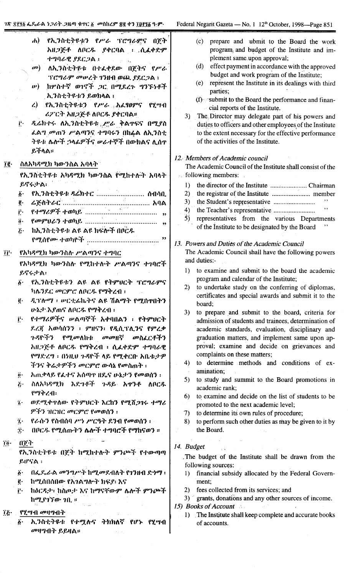| [동생] 3월 11일 - 11월 12일 - 11일 - 11월 12일 - 11월 11일 - 11<br>$\mathbf{d}$<br>የኢንስቲትዩቱን የሥራ ፕሮግራድና በጀት<br>አዘጋጅቶ ለቦርዱ ያቀርባል ፣ ሲፈቀድም<br>ተግባራዊ ያደርጋል :<br>ለኢንስቲትዩቱ በተፈቀደው በጀትና የሥራ<br>$\mathbf{a}$<br>ፕሮግራም መሠረት ገንዘብ ወጪ ያደርጋል ፣<br>ከሦስተኛ ወገኖች ጋር በሚደረጉ ግንኙነቶች<br>$\boldsymbol{w}$<br>. ኢንስቲትዩቱን ይወክላል ፣<br>ያኢንስቲትዩቱን የሥራ አፈፃፀምና የሂሣብ<br>$\mathcal{L}$<br>ሪፖርት አዘጋጅቶ ለቦርዱ ያቀርባል።<br>ዲሬክተሩ ለኢንስቲትዩቱ <sub>ሁ</sub> ሥራ ቅልዋፍና በሚያስ<br>Ë.<br><i>ፌ</i> ል <i>ግ መጠን ሥልጣን</i> ና ተግባሩን በከፉል ለኢንስቲ<br>ትዩቱ ሌሎች ኃላፊዎችና ሥራተኞች በውክልና ሊሰተ<br>ይችላል።                                                                                                                                                                                          | prepare and ubmit to the Board the work<br>(c)<br>program, and budget of the Institute and im-<br>plement same upon approval;<br>effect payment in accordance with the approved<br>(d)<br>budget and work program of the Institute;<br>represent the Institute in its dealings with third<br>(e)<br>parties;<br>$(f)$ submit to the Board the performance and finan-<br>cial reports of the Institute.<br>The Director may delegate part of his powers and<br>3)<br>duties to officers and other employees of the Institute<br>to the extent necessary for the effective performance<br>of the activities of the Institute.                                                                                                                                                                                                                                                                                                |
|-------------------------------------------------------------------------------------------------------------------------------------------------------------------------------------------------------------------------------------------------------------------------------------------------------------------------------------------------------------------------------------------------------------------------------------------------------------------------------------------------------------------------------------------------------------------------------------------------------------------------------------------------------------------------------------------------------------------|----------------------------------------------------------------------------------------------------------------------------------------------------------------------------------------------------------------------------------------------------------------------------------------------------------------------------------------------------------------------------------------------------------------------------------------------------------------------------------------------------------------------------------------------------------------------------------------------------------------------------------------------------------------------------------------------------------------------------------------------------------------------------------------------------------------------------------------------------------------------------------------------------------------------------|
| ስለአካዳሚክ ካውንስል አባላት"<br>$\tilde{1}\tilde{g}$ .                                                                                                                                                                                                                                                                                                                                                                                                                                                                                                                                                                                                                                                                     | 12. Members of Academic council<br>The Academic Council of the Institute shall consist of the                                                                                                                                                                                                                                                                                                                                                                                                                                                                                                                                                                                                                                                                                                                                                                                                                              |
| የኢንስቲትዩቱ አካዳሚክ ካውንስል የሚከተሉት አባላት                                                                                                                                                                                                                                                                                                                                                                                                                                                                                                                                                                                                                                                                                  | stription following members:                                                                                                                                                                                                                                                                                                                                                                                                                                                                                                                                                                                                                                                                                                                                                                                                                                                                                               |
| ይኖሩታል፡<br>የኢንስቲትዩቱ ዳሬክተር  ሰብሳቢ<br>$\delta$ .<br>ğ.<br>$\mathbf{r}$<br>$\ddot{\mathbf{0}}$ .<br>ከኢንስቲትዩቱ ልዩ ልዩ ክፍሎች በቦርዱ<br>$\ddot{\mathcal{L}}$<br><i>የሚ</i> ሰየሙ ተወካዮች .<br>,,                                                                                                                                                                                                                                                                                                                                                                                                                                                                                                                                    | 1)<br>2)<br>3)<br>, ,<br>4)<br><i>5</i> )<br>representatives from the various Departments<br>of the Institute to be designated by the Board<br>13. Powers and Duties of the Academic Council                                                                                                                                                                                                                                                                                                                                                                                                                                                                                                                                                                                                                                                                                                                               |
| የአካዳሚክ ካውንስሉ ሥልጣንና ተግባር<br>TË∙                                                                                                                                                                                                                                                                                                                                                                                                                                                                                                                                                                                                                                                                                    | The Academic Council shall have the following powers                                                                                                                                                                                                                                                                                                                                                                                                                                                                                                                                                                                                                                                                                                                                                                                                                                                                       |
| የአካዳሚክ ካውንስሉ የሚከተሉት ሥልጣንና ተገባሮች                                                                                                                                                                                                                                                                                                                                                                                                                                                                                                                                                                                                                                                                                   | and duties:-                                                                                                                                                                                                                                                                                                                                                                                                                                                                                                                                                                                                                                                                                                                                                                                                                                                                                                               |
| ይኖሩታል፡<br>፩· የኢንስቲትዩቱን ልዩ ልዩ የትምሀርት ፕሮግራምና<br>ካሴንደር <i>መ</i> ርምሮ ለቦር <i>ዱ</i> የማቅረብ ፣<br>ዲፕሎማ ፣ ሥርቲፊኬትና ልዩ ሽልማት የሚሰዋበትን<br>ġ.<br>ሁኔታ እያጠና ለቦርዱ የማቅረብ ፡<br>የተማሪዎችና ሥልጣኞች አቀባበልን ፡ የትምሀርት<br>Ë۰<br>ደረጃ አወሳሰንን ፣ ምዘናን፣ የዲሲፕሊንና የምረቃ<br>ንዳዮችን የሚ <i>መ</i> ለኩቱ መመዘኛ መስፈርቶችን<br>አዜጋጅቶ ለቦርዱ የማቅረብ ፡ ሲፌቀድም ተግባራዊ<br>የማድረግ ፡ በነዚህ ጉዳዮች ላይ የሚቀርቡ አቤቱታዎ<br>ችንና ቅሬታዎችን መርምሮ ውሳኔ የመስጠት ፡<br>አጠቃላይ የፌተና አሰጣጥ ዘዴና ሁኔታን የመወሰን ፣<br>$\ddot{\theta}$ .<br>ስለአካዳሚክ እድንቶች ንዳይ አዋንቶ ለቦርዱ<br>$\ddot{G}$<br>የማቅረብ፡<br>ወደሚቀዋለው የትምህርት እርከን የሚሸጋገሩ ተማሪ<br>$\dddot{\mathbf{z}}$ .<br><i>ዎችን ገ</i> ዘርዝር <i>መ</i> ርምሮ የመወሰን ፡<br>የራሱን የስብሰባ ሥነ ሥርዓት ደንብ የመወሰን ፡<br>ï.<br>በቦርዱ የሚሰጡትን ሌሎች ተግባሮች የማከናወን ።<br>$\ddot{\mathbf{r}}$<br>3,200 - 120 | to examine and submit to the board the academic<br>$_{\rm D}$<br>program and calendar of the Institute;<br>2) to undertake study on the conferring of diplomas,<br>certificates and special awards and submit it to the<br>board;<br>to prepare and submit to the board, criteria for<br>3)<br>admission of students and trainees, determination of<br>academic standards, evaluation, disciplinary and<br>graduation matters, and implement same upon ap-<br>proval; examine and decide on grievances and<br>complaints on these matters;<br>to determine methods and conditions of ex-<br>4)<br>amination;<br>to study and summit to the Board promotions in<br>5)<br>academic rank;<br>to examine and decide on the list of students to be<br>6)<br>promoted to the next academic level;<br>to determine its own rules of procedure;<br>7)<br>to perform such other duties as may be given to it by<br>8)<br>the Board. |
| $0$ ? $\lambda$<br>ΪÖ·<br>የኢንስቲተዩቱ በጀት ከሚከተሉት ምንጮች የተውጣጣ<br>$EIFFA$ :<br>በፌደሬራል መንግሥት ከሚመደብለት የገንዘብ ድንማ ፡<br>$\ddot{\theta}$ .<br>ġ.<br>ከሚሰበሰበው የአንልግሎት ክፍደ፡ እና<br>ከዕርዳታ፡፡ ከስጦታ እና ከማናቸውም ሌሎች ምንጮች<br>$\mathbf{r}$<br>ከሚያጎኘው ገቢ ።<br>$PZ$ ሣብ መዛማብት $\cdot$<br>ï&∙                                                                                                                                                                                                                                                                                                                                                                                                                                                 | 14. Budget<br>The budget of the Institute shall be drawn from the<br>following sources:<br>financial subsidy allocated by the Federal Govern-<br>$\mathbf{D}$<br>ment;<br>fees collected from its services; and<br>(2)<br>3) grants, donations and any other sources of income.<br>15) Books of Account<br>1) The Institute shall keep complete and accurate books                                                                                                                                                                                                                                                                                                                                                                                                                                                                                                                                                         |
| ፩· ኢንስቲትዩቱ የተሟለና ትክክለኛ የሆኑ የሂሣብ<br>መዛግብት ይይዛል።                                                                                                                                                                                                                                                                                                                                                                                                                                                                                                                                                                                                                                                                    | of accounts.                                                                                                                                                                                                                                                                                                                                                                                                                                                                                                                                                                                                                                                                                                                                                                                                                                                                                                               |